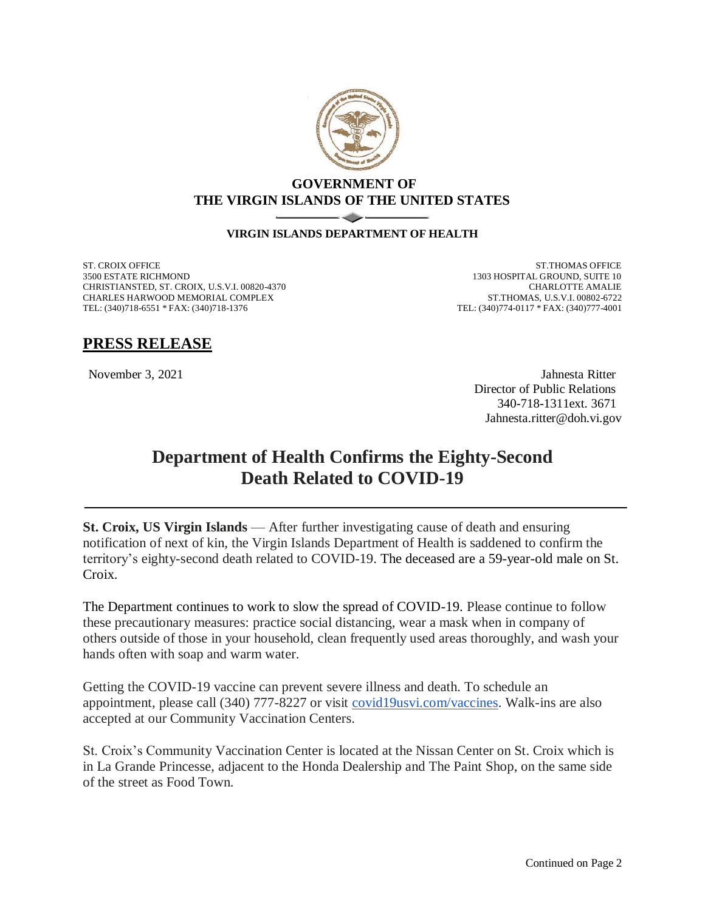

## **GOVERNMENT OF THE VIRGIN ISLANDS OF THE UNITED STATES**

## **VIRGIN ISLANDS DEPARTMENT OF HEALTH**

ST. CROIX OFFICE 3500 ESTATE RICHMOND CHRISTIANSTED, ST. CROIX, U.S.V.I. 00820-4370 CHARLES HARWOOD MEMORIAL COMPLEX TEL: (340)718-6551 \* FAX: (340)718-1376

ST.THOMAS OFFICE 1303 HOSPITAL GROUND, SUITE 10 CHARLOTTE AMALIE ST.THOMAS, U.S.V.I. 00802-6722 TEL: (340)774-0117 \* FAX: (340)777-4001

## **PRESS RELEASE**

November 3, 2021 Jahnesta Ritter Director of Public Relations 340-718-1311ext. 3671 Jahnesta.ritter@doh.vi.gov

## **Department of Health Confirms the Eighty-Second Death Related to COVID-19**

**St. Croix, US Virgin Islands** — After further investigating cause of death and ensuring notification of next of kin, the Virgin Islands Department of Health is saddened to confirm the territory's eighty-second death related to COVID-19. The deceased are a 59-year-old male on St. Croix.

The Department continues to work to slow the spread of COVID-19. Please continue to follow these precautionary measures: practice social distancing, wear a mask when in company of others outside of those in your household, clean frequently used areas thoroughly, and wash your hands often with soap and warm water.

Getting the COVID-19 vaccine can prevent severe illness and death. To schedule an appointment, please call (340) 777-8227 or visit [covid19usvi.com/vaccines.](http://covid19usvi.com/vaccines) Walk-ins are also accepted at our Community Vaccination Centers.

St. Croix's Community Vaccination Center is located at the Nissan Center on St. Croix which is in La Grande Princesse, adjacent to the Honda Dealership and The Paint Shop, on the same side of the street as Food Town.